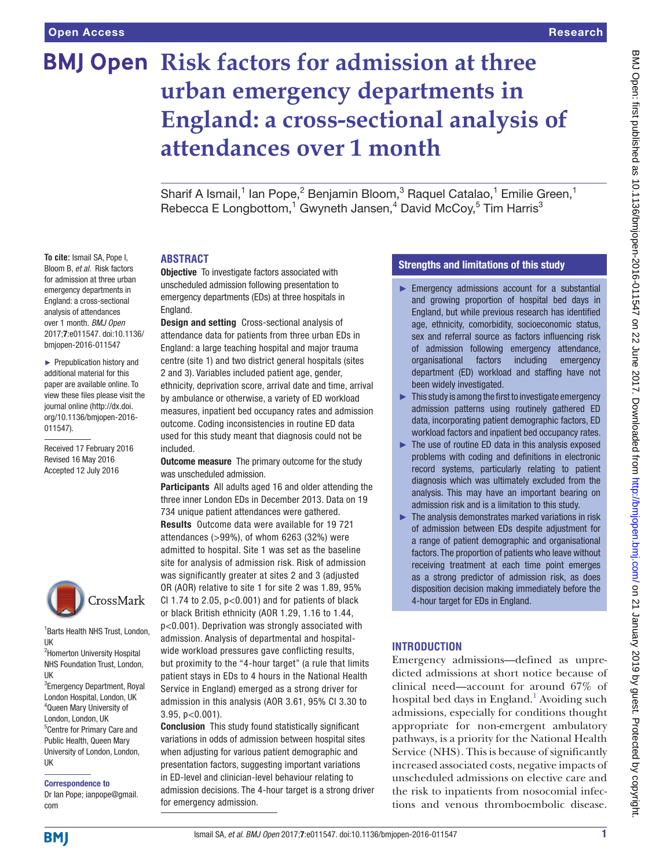# **BMJ Open Risk factors for admission at three urban emergency departments in England: a cross-sectional analysis of attendances over 1 month**

Sharif A Ismail,<sup>1</sup> Ian Pope,<sup>2</sup> Benjamin Bloom,<sup>3</sup> Raquel Catalao,<sup>1</sup> Emilie Green,<sup>1</sup> Rebecca E Longbottom,<sup>1</sup> Gwyneth Jansen,<sup>4</sup> David McCoy,<sup>5</sup> Tim Harris<sup>3</sup>

#### **Abstract**

England. Bloom B, *et al*. Risk factors for admission at three urban emergency departments in England: a cross-sectional analysis of attendances over 1 month. *BMJ Open* 2017;7:e011547. doi:10.1136/

► Prepublication history and additional material for this paper are available online. To view these files please visit the journal online [\(http://dx.doi.](http://dx.doi.org/10.1136/bmjopen-2016-011547) [org/10.1136/bmjopen-2016-](http://dx.doi.org/10.1136/bmjopen-2016-011547) [011547\)](http://dx.doi.org/10.1136/bmjopen-2016-011547).

**To cite:** Ismail SA, Pope I,

bmjopen-2016-011547

Received 17 February 2016 Revised 16 May 2016 Accepted 12 July 2016



1 Barts Health NHS Trust, London, UK

<sup>2</sup>Homerton University Hospital NHS Foundation Trust, London, UK

3 Emergency Department, Royal London Hospital, London, UK 4 Queen Mary University of London, London, UK 5 Centre for Primary Care and Public Health, Queen Mary University of London, London, UK

Correspondence to

Dr Ian Pope; ianpope@gmail. com

**Objective** To investigate factors associated with

unscheduled admission following presentation to emergency departments (EDs) at three hospitals in

Design and setting Cross-sectional analysis of attendance data for patients from three urban EDs in England: a large teaching hospital and major trauma centre (site 1) and two district general hospitals (sites 2 and 3). Variables included patient age, gender, ethnicity, deprivation score, arrival date and time, arrival by ambulance or otherwise, a variety of ED workload measures, inpatient bed occupancy rates and admission outcome. Coding inconsistencies in routine ED data used for this study meant that diagnosis could not be included.

**Outcome measure** The primary outcome for the study was unscheduled admission.

Participants All adults aged 16 and older attending the three inner London EDs in December 2013. Data on 19 734 unique patient attendances were gathered. Results Outcome data were available for 19 721 attendances (>99%), of whom 6263 (32%) were admitted to hospital. Site 1 was set as the baseline site for analysis of admission risk. Risk of admission was significantly greater at sites 2 and 3 (adjusted OR (AOR) relative to site 1 for site 2 was 1.89, 95% CI 1.74 to 2.05,  $p<0.001$ ) and for patients of black or black British ethnicity (AOR 1.29, 1.16 to 1.44, p<0.001). Deprivation was strongly associated with admission. Analysis of departmental and hospitalwide workload pressures gave conflicting results, but proximity to the "4-hour target" (a rule that limits patient stays in EDs to 4 hours in the National Health Service in England) emerged as a strong driver for admission in this analysis (AOR 3.61, 95% CI 3.30 to 3.95, p<0.001).

Conclusion This study found statistically significant variations in odds of admission between hospital sites when adjusting for various patient demographic and presentation factors, suggesting important variations in ED-level and clinician-level behaviour relating to admission decisions. The 4-hour target is a strong driver for emergency admission.

#### Strengths and limitations of this study

- ► Emergency admissions account for a substantial and growing proportion of hospital bed days in England, but while previous research has identified age, ethnicity, comorbidity, socioeconomic status, sex and referral source as factors influencing risk of admission following emergency attendance, organisational factors including emergency department (ED) workload and staffing have not been widely investigated.
- $\blacktriangleright$  This study is among the first to investigate emergency admission patterns using routinely gathered ED data, incorporating patient demographic factors, ED workload factors and inpatient bed occupancy rates.
- $\blacktriangleright$  The use of routine ED data in this analysis exposed problems with coding and definitions in electronic record systems, particularly relating to patient diagnosis which was ultimately excluded from the analysis. This may have an important bearing on admission risk and is a limitation to this study.
- $\blacktriangleright$  The analysis demonstrates marked variations in risk of admission between EDs despite adjustment for a range of patient demographic and organisational factors. The proportion of patients who leave without receiving treatment at each time point emerges as a strong predictor of admission risk, as does disposition decision making immediately before the 4-hour target for EDs in England.

# **Introduction**

Emergency admissions—defined as unpredicted admissions at short notice because of clinical need—account for around 67% of hospital bed days in England.<sup>[1](#page-8-0)</sup> Avoiding such admissions, especially for conditions thought appropriate for non-emergent ambulatory pathways, is a priority for the National Health Service (NHS). This is because of significantly increased associated costs, negative impacts of unscheduled admissions on elective care and the risk to inpatients from nosocomial infections and venous thromboembolic disease.

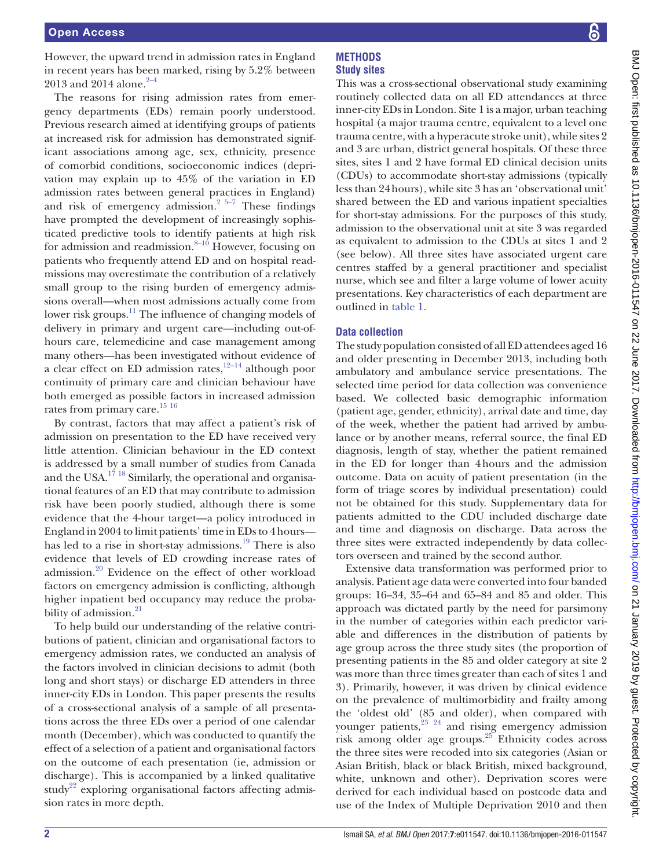However, the upward trend in admission rates in England in recent years has been marked, rising by 5.2% between 2013 and 2014 alone. $2^{-4}$ 

The reasons for rising admission rates from emergency departments (EDs) remain poorly understood. Previous research aimed at identifying groups of patients at increased risk for admission has demonstrated significant associations among age, sex, ethnicity, presence of comorbid conditions, socioeconomic indices (deprivation may explain up to 45% of the variation in ED admission rates between general practices in England) and risk of emergency admission.<sup>2 5-7</sup> These findings have prompted the development of increasingly sophisticated predictive tools to identify patients at high risk for admission and readmission. $8-10$  However, focusing on patients who frequently attend ED and on hospital readmissions may overestimate the contribution of a relatively small group to the rising burden of emergency admissions overall—when most admissions actually come from lower risk groups. $\frac{11}{11}$  The influence of changing models of delivery in primary and urgent care—including out-ofhours care, telemedicine and case management among many others—has been investigated without evidence of a clear effect on ED admission rates, $12-14$  although poor continuity of primary care and clinician behaviour have both emerged as possible factors in increased admission rates from primary care.<sup>[15](#page-8-5) [16](#page-8-6)</sup>

By contrast, factors that may affect a patient's risk of admission on presentation to the ED have received very little attention. Clinician behaviour in the ED context is addressed by a small number of studies from Canada and the USA.<sup>[17](#page-8-7) 18</sup> Similarly, the operational and organisational features of an ED that may contribute to admission risk have been poorly studied, although there is some evidence that the 4-hour target—a policy introduced in England in 2004 to limit patients' time in EDs to 4hours— has led to a rise in short-stay admissions.<sup>[19](#page-8-9)</sup> There is also evidence that levels of ED crowding increase rates of admission.[20](#page-8-10) Evidence on the effect of other workload factors on emergency admission is conflicting, although higher inpatient bed occupancy may reduce the probability of admission. $21$ 

To help build our understanding of the relative contributions of patient, clinician and organisational factors to emergency admission rates, we conducted an analysis of the factors involved in clinician decisions to admit (both long and short stays) or discharge ED attenders in three inner-city EDs in London. This paper presents the results of a cross-sectional analysis of a sample of all presentations across the three EDs over a period of one calendar month (December), which was conducted to quantify the effect of a selection of a patient and organisational factors on the outcome of each presentation (ie, admission or discharge). This is accompanied by a linked qualitative study<sup>22</sup> exploring organisational factors affecting admission rates in more depth.

## **Methods Study sites**

This was a cross-sectional observational study examining routinely collected data on all ED attendances at three inner-city EDs in London. Site 1 is a major, urban teaching hospital (a major trauma centre, equivalent to a level one trauma centre, with a hyperacute stroke unit), while sites 2 and 3 are urban, district general hospitals. Of these three sites, sites 1 and 2 have formal ED clinical decision units (CDUs) to accommodate short-stay admissions (typically less than 24hours), while site 3 has an 'observational unit' shared between the ED and various inpatient specialties for short-stay admissions. For the purposes of this study, admission to the observational unit at site 3 was regarded as equivalent to admission to the CDUs at sites 1 and 2 (see below). All three sites have associated urgent care centres staffed by a general practitioner and specialist nurse, which see and filter a large volume of lower acuity presentations. Key characteristics of each department are outlined in [table](#page-2-0) 1.

# **Data collection**

The study population consisted of all ED attendees aged 16 and older presenting in December 2013, including both ambulatory and ambulance service presentations. The selected time period for data collection was convenience based. We collected basic demographic information (patient age, gender, ethnicity), arrival date and time, day of the week, whether the patient had arrived by ambulance or by another means, referral source, the final ED diagnosis, length of stay, whether the patient remained in the ED for longer than 4hours and the admission outcome. Data on acuity of patient presentation (in the form of triage scores by individual presentation) could not be obtained for this study. Supplementary data for patients admitted to the CDU included discharge date and time and diagnosis on discharge. Data across the three sites were extracted independently by data collectors overseen and trained by the second author.

Extensive data transformation was performed prior to analysis. Patient age data were converted into four banded groups: 16–34, 35–64 and 65–84 and 85 and older. This approach was dictated partly by the need for parsimony in the number of categories within each predictor variable and differences in the distribution of patients by age group across the three study sites (the proportion of presenting patients in the 85 and older category at site 2 was more than three times greater than each of sites 1 and 3). Primarily, however, it was driven by clinical evidence on the prevalence of multimorbidity and frailty among the 'oldest old' (85 and older), when compared with younger patients, $23 \frac{24}{4}$  $23 \frac{24}{4}$  $23 \frac{24}{4}$  $23 \frac{24}{4}$  and rising emergency admission risk among older age groups.[25](#page-8-15) Ethnicity codes across the three sites were recoded into six categories (Asian or Asian British, black or black British, mixed background, white, unknown and other). Deprivation scores were derived for each individual based on postcode data and use of the Index of Multiple Deprivation 2010 and then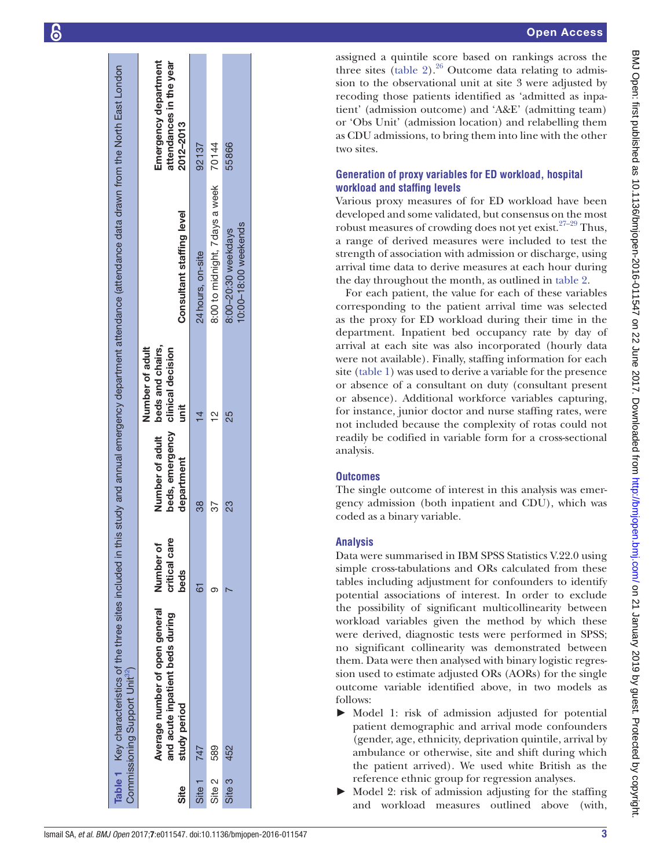| <b>Open Access</b> |  |  |  |  |  |  |  |  |
|--------------------|--|--|--|--|--|--|--|--|
|--------------------|--|--|--|--|--|--|--|--|

assigned a quintile score based on rankings across the three sites ([table](#page-3-0) 2). $26$  Outcome data relating to admission to the observational unit at site 3 were adjusted by recoding those patients identified as 'admitted as inpatient' (admission outcome) and 'A&E' (admitting team) or 'Obs Unit' (admission location) and relabelling them as CDU admissions, to bring them into line with the other two sites.

### **Generation of proxy variables for ED workload, hospital workload and staffing levels**

Various proxy measures of for ED workload have been developed and some validated, but consensus on the most robust measures of crowding does not yet exist.[27–29](#page-8-18) Thus, a range of derived measures were included to test the strength of association with admission or discharge, using arrival time data to derive measures at each hour during the day throughout the month, as outlined in [table](#page-3-0) 2 .

For each patient, the value for each of these variables corresponding to the patient arrival time was selected as the proxy for ED workload during their time in the department. Inpatient bed occupancy rate by day of arrival at each site was also incorporated (hourly data were not available). Finally, staffing information for each site ([table](#page-2-0) 1) was used to derive a variable for the presence or absence of a consultant on duty (consultant present or absence). Additional workforce variables capturing, for instance, junior doctor and nurse staffing rates, were not included because the complexity of rotas could not readily be codified in variable form for a cross-sectional analysis.

# **Outcomes**

The single outcome of interest in this analysis was emergency admission (both inpatient and CDU), which was coded as a binary variable.

# **Analysis**

Data were summarised in IBM SPSS Statistics V.22.0 using simple cross-tabulations and ORs calculated from these tables including adjustment for confounders to identify potential associations of interest. In order to exclude the possibility of significant multicollinearity between workload variables given the method by which these were derived, diagnostic tests were performed in SPSS; no significant collinearity was demonstrated between them. Data were then analysed with binary logistic regres sion used to estimate adjusted ORs (AORs) for the single outcome variable identified above, in two models as follows:

- ► Model 1: risk of admission adjusted for potential patient demographic and arrival mode confounders (gender, age, ethnicity, deprivation quintile, arrival by ambulance or otherwise, site and shift during which the patient arrived). We used white British as the reference ethnic group for regression analyses.
- <span id="page-2-0"></span>Model 2: risk of admission adjusting for the staffing and workload measures outlined above (with,

|        | Table 1 Key characteristics of the three sites included in this study and annual emergency department attendance (attendance data drawn from the North East London<br>Commissioning Support Unit <sup>32</sup> ) |                                   |                                                                                     |                         |                                             |                                                              |
|--------|------------------------------------------------------------------------------------------------------------------------------------------------------------------------------------------------------------------|-----------------------------------|-------------------------------------------------------------------------------------|-------------------------|---------------------------------------------|--------------------------------------------------------------|
| Site   | Average number of open general<br>and acute inpatient beds during<br>study period                                                                                                                                | critical care<br>Number d<br>beds | Number of adult beds and chairs,<br>beds, emergency clinical decision<br>department | Number of adult<br>unit | Consultant staffing level                   | Emergency department<br>attendances in the year<br>2012-2013 |
| Site 1 | 747                                                                                                                                                                                                              |                                   | 38                                                                                  |                         | 24 hours, on-site                           | 92137                                                        |
| Site 2 | 589                                                                                                                                                                                                              |                                   | 37                                                                                  |                         | 8:00 to midnight, 7 days a week             | 70144                                                        |
| Site 3 | 452                                                                                                                                                                                                              |                                   | 23                                                                                  | 25                      | 10:00-18:00 weekends<br>8:00-20:30 weekdays | 55866                                                        |
|        |                                                                                                                                                                                                                  |                                   |                                                                                     |                         |                                             |                                                              |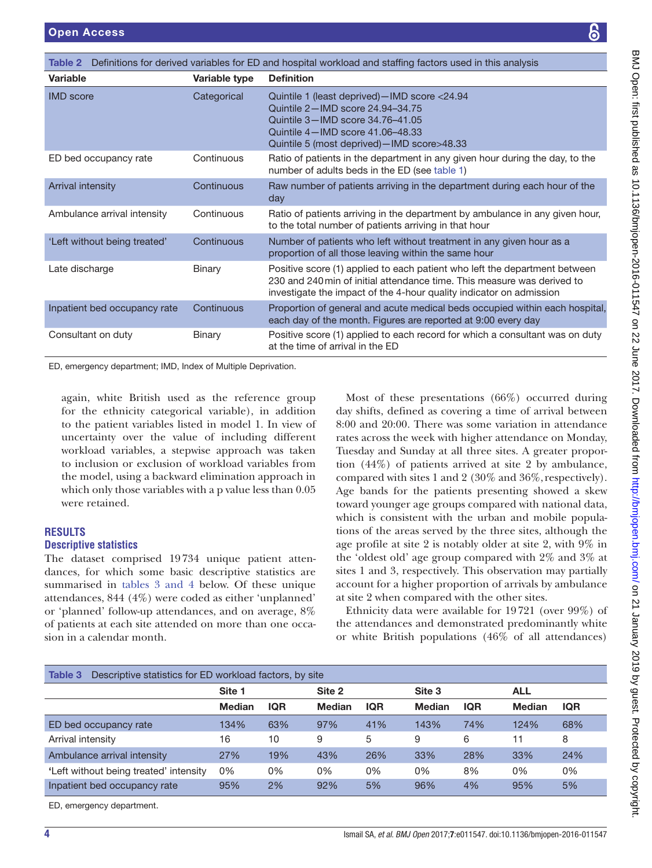<span id="page-3-0"></span>

| Table 2                      |               | Definitions for derived variables for ED and hospital workload and staffing factors used in this analysis                                                                                                                    |
|------------------------------|---------------|------------------------------------------------------------------------------------------------------------------------------------------------------------------------------------------------------------------------------|
| Variable                     | Variable type | <b>Definition</b>                                                                                                                                                                                                            |
| <b>IMD</b> score             | Categorical   | Quintile 1 (least deprived)-IMD score <24.94<br>Quintile 2-IMD score 24.94-34.75<br>Quintile 3-IMD score 34.76-41.05<br>Quintile 4 – IMD score 41.06-48.33<br>Quintile 5 (most deprived)-IMD score>48.33                     |
| ED bed occupancy rate        | Continuous    | Ratio of patients in the department in any given hour during the day, to the<br>number of adults beds in the ED (see table 1)                                                                                                |
| Arrival intensity            | Continuous    | Raw number of patients arriving in the department during each hour of the<br>day                                                                                                                                             |
| Ambulance arrival intensity  | Continuous    | Ratio of patients arriving in the department by ambulance in any given hour,<br>to the total number of patients arriving in that hour                                                                                        |
| 'Left without being treated' | Continuous    | Number of patients who left without treatment in any given hour as a<br>proportion of all those leaving within the same hour                                                                                                 |
| Late discharge               | Binary        | Positive score (1) applied to each patient who left the department between<br>230 and 240 min of initial attendance time. This measure was derived to<br>investigate the impact of the 4-hour quality indicator on admission |
| Inpatient bed occupancy rate | Continuous    | Proportion of general and acute medical beds occupied within each hospital,<br>each day of the month. Figures are reported at 9:00 every day                                                                                 |
| Consultant on duty           | Binary        | Positive score (1) applied to each record for which a consultant was on duty<br>at the time of arrival in the FD                                                                                                             |

ED, emergency department; IMD, Index of Multiple Deprivation.

again, white British used as the reference group for the ethnicity categorical variable), in addition to the patient variables listed in model 1. In view of uncertainty over the value of including different workload variables, a stepwise approach was taken to inclusion or exclusion of workload variables from the model, using a backward elimination approach in which only those variables with a p value less than 0.05 were retained.

### **Results Descriptive statistics**

The dataset comprised 19734 unique patient attendances, for which some basic descriptive statistics are summarised in tables [3 and 4](#page-3-1) below. Of these unique attendances, 844 (4%) were coded as either 'unplanned' or 'planned' follow-up attendances, and on average, 8% of patients at each site attended on more than one occasion in a calendar month.

Most of these presentations (66%) occurred during day shifts, defined as covering a time of arrival between 8:00 and 20:00. There was some variation in attendance rates across the week with higher attendance on Monday, Tuesday and Sunday at all three sites. A greater proportion (44%) of patients arrived at site 2 by ambulance, compared with sites 1 and 2 (30% and 36%, respectively). Age bands for the patients presenting showed a skew toward younger age groups compared with national data, which is consistent with the urban and mobile populations of the areas served by the three sites, although the age profile at site 2 is notably older at site 2, with 9% in the 'oldest old' age group compared with 2% and 3% at sites 1 and 3, respectively. This observation may partially account for a higher proportion of arrivals by ambulance at site 2 when compared with the other sites.

Ethnicity data were available for 19721 (over 99%) of the attendances and demonstrated predominantly white or white British populations (46% of all attendances)

<span id="page-3-1"></span>

| Table 3<br>Descriptive statistics for ED workload factors, by site |               |            |               |            |               |            |               |            |
|--------------------------------------------------------------------|---------------|------------|---------------|------------|---------------|------------|---------------|------------|
|                                                                    | Site 1        |            | Site 2        |            | Site 3        |            | <b>ALL</b>    |            |
|                                                                    | <b>Median</b> | <b>IQR</b> | <b>Median</b> | <b>IQR</b> | <b>Median</b> | <b>IQR</b> | <b>Median</b> | <b>IQR</b> |
| ED bed occupancy rate                                              | 134%          | 63%        | 97%           | 41%        | 143%          | 74%        | 124%          | 68%        |
| Arrival intensity                                                  | 16            | 10         | 9             | 5          | 9             | 6          | 11            | 8          |
| Ambulance arrival intensity                                        | 27%           | 19%        | 43%           | 26%        | 33%           | 28%        | 33%           | 24%        |
| 'Left without being treated' intensity                             | 0%            | 0%         | 0%            | 0%         | 0%            | 8%         | 0%            | 0%         |
| Inpatient bed occupancy rate                                       | 95%           | 2%         | 92%           | 5%         | 96%           | 4%         | 95%           | 5%         |

ED, emergency department.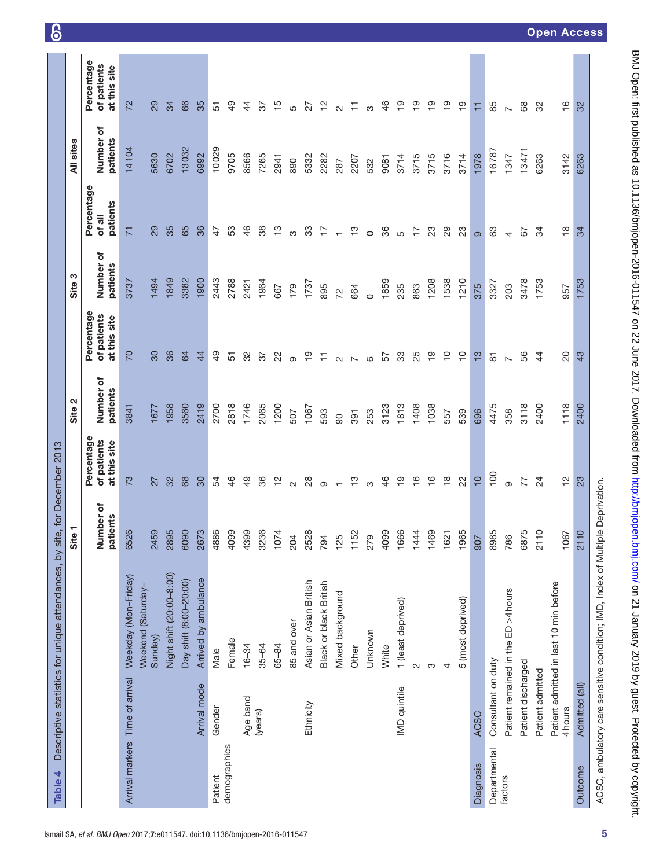<span id="page-4-0"></span>

| Table 4          |                                 | Descriptive statistics for unique attendances, by site, for December 2013 |                                |                                           |                       |                                           |                       |                                  |                       |                                           |
|------------------|---------------------------------|---------------------------------------------------------------------------|--------------------------------|-------------------------------------------|-----------------------|-------------------------------------------|-----------------------|----------------------------------|-----------------------|-------------------------------------------|
|                  |                                 |                                                                           | Site 1                         |                                           | Site 2                |                                           | Site 3                |                                  | All sites             |                                           |
|                  |                                 |                                                                           | Number of<br>patients          | Percentage<br>of patients<br>at this site | Number of<br>patients | Percentage<br>of patients<br>at this site | Number of<br>patients | Percentage<br>patients<br>of all | Number of<br>patients | Percentage<br>of patients<br>at this site |
|                  | Arrival markers Time of arrival | Weekday (Mon-Friday)                                                      | $\overline{\omega}$<br>652     | 73                                        | 3841                  | 20                                        | 3737                  | $\overline{7}$                   | 14104                 | 72                                        |
|                  |                                 | Weekend (Saturday-<br>Sunday)                                             | ၜ<br>245                       | 72                                        | 1677                  | 30                                        | 1494                  | 29                               | 5630                  | 82                                        |
|                  |                                 | Night shift (20:00-8:00)                                                  | ம<br>289                       | 32                                        | 1958                  | 36                                        | 1849                  | 35                               | 6702                  | 34                                        |
|                  |                                 | Day shift (8:00-20:00)                                                    | 6090                           | 68                                        | 3560                  | 64                                        | 3382                  | 65                               | 13032                 | 66                                        |
|                  | Arrival mode                    | Arrived by ambulance                                                      | ဇ္<br>267                      | 30                                        | 2419                  | $\overline{4}$                            | 1900                  | 36                               | 6992                  | 35                                        |
| Patient          | Gender                          | Male                                                                      | 4886                           | 54                                        | 2700                  | 9                                         | 2443                  | 47                               | 10029                 | 51                                        |
| demographics     |                                 | Female                                                                    | 4099                           | 46                                        | 2818                  | 51                                        | 2788                  | 53                               | 9705                  | $\overline{6}$                            |
|                  | Age band                        | $16 - 34$                                                                 | 4399                           | $\overline{6}$                            | 1746                  | 32                                        | 2421                  | 46                               | 8566                  | $\overline{4}$                            |
|                  | (years)                         | $35 - 64$                                                                 | 3236                           | 86                                        | 2065                  | 57                                        | 1964                  | 38                               | 7265                  | 57                                        |
|                  |                                 | 65-84                                                                     | 1074                           | $\frac{1}{2}$                             | 1200                  | 22                                        | 667                   | င္                               | 2941                  | $\frac{15}{1}$                            |
|                  |                                 | 85 and over                                                               | 204                            | $\sim$                                    | 507                   | $\infty$                                  | 179                   | က                                | 890                   | Ю                                         |
|                  | Ethnicity                       | Asian or Asian British                                                    | 2528                           | 28                                        | 1067                  | စ္                                        | 1737                  | 33                               | 5332                  | 27                                        |
|                  |                                 | Black or black British                                                    |                                | တ                                         | 593                   | ₣                                         | 895                   | 7                                | 2282                  | $\frac{1}{2}$                             |
|                  |                                 | Mixed background                                                          | 794<br>125                     |                                           | 90                    | $\sim$                                    | 72                    | $\overline{ }$                   | 287                   | $\sim$                                    |
|                  |                                 | Other                                                                     | $\tilde{\mathbf{z}}$<br>115    | ဗ္                                        | 391                   | $\sim$                                    | 664                   | င္                               | 2207                  | Ξ                                         |
|                  |                                 | Unknown                                                                   | 279                            | က                                         | 253                   | $\circ$                                   | $\circ$               | $\circ$                          | 532                   | က                                         |
|                  |                                 | White                                                                     | ൭<br>409                       | $\frac{6}{5}$                             | 3123                  | 57                                        | 1859                  | 86                               | 9081                  | 46                                        |
|                  | IMD quintile                    | 1 (least deprived)                                                        | $\overline{\mathsf{c}}$<br>166 | $\frac{6}{1}$                             | 1813                  | 33                                        | 235                   | 5                                | 3714                  | $\frac{1}{2}$                             |
|                  |                                 | $\sim$                                                                    | 4<br>144                       | ٩                                         | 1408                  | 25                                        | 863                   | 7                                | 3715                  | စ္                                        |
|                  |                                 | S                                                                         | စာ<br>146                      | ٶ                                         | 1038                  | င္                                        | 1208                  | 23                               | 3715                  | $\overline{0}$                            |
|                  |                                 | 4                                                                         | 162                            | $\frac{\infty}{1}$                        | 557                   | $\frac{1}{\sqrt{2}}$                      | 1538                  | 89                               | 3716                  | $\frac{1}{2}$                             |
|                  |                                 | 5 (most deprived)                                                         | 1965                           | 22                                        | 539                   | $\frac{1}{\sqrt{2}}$                      | 1210                  | ಔ                                | 3714                  | $\frac{1}{2}$                             |
| <b>Diagnosis</b> | <b>ACSC</b>                     |                                                                           | 907                            | $\overline{C}$                            | 696                   | $\frac{1}{2}$                             | 375                   | ၜ                                | 1978                  | ₣                                         |
| Departmental     | Consultant on duty              |                                                                           | гŌ<br>898                      | 100                                       | 4475                  | $\overline{\infty}$                       | 3327                  | 63                               | 16787                 | 85                                        |
| factors          |                                 | Patient remained in the ED >4 hours                                       | 786                            | ၜ                                         | 358                   | $\sim$                                    | 203                   | 4                                | 1347                  | $\sim$                                    |
|                  | Patient discharged              |                                                                           | ŗO<br>687                      | 77                                        | 3118                  | 56                                        | 3478                  | 67                               | 13471                 | 89                                        |
|                  | Patient admitted                |                                                                           | $\circ$<br>211                 | 24                                        | 2400                  | 44                                        | 1753                  | 34                               | 6263                  | 32                                        |
|                  | 4hours                          | Patient admitted in last 10 min before                                    | 1067                           | $\frac{1}{2}$                             | 1118                  | SO                                        | 957                   | $\frac{\infty}{\tau}$            | 3142                  | $\frac{6}{1}$                             |
| Outcome          | Admitted (all)                  |                                                                           | 2110                           | 23                                        | 2400                  | 43                                        | 1753                  | 34                               | 6263                  | 32                                        |
|                  |                                 | ACSC, ambulatory care sensitive condition; IMD, Index of Multipl          | le Deprivation.                |                                           |                       |                                           |                       |                                  |                       |                                           |

 $\delta$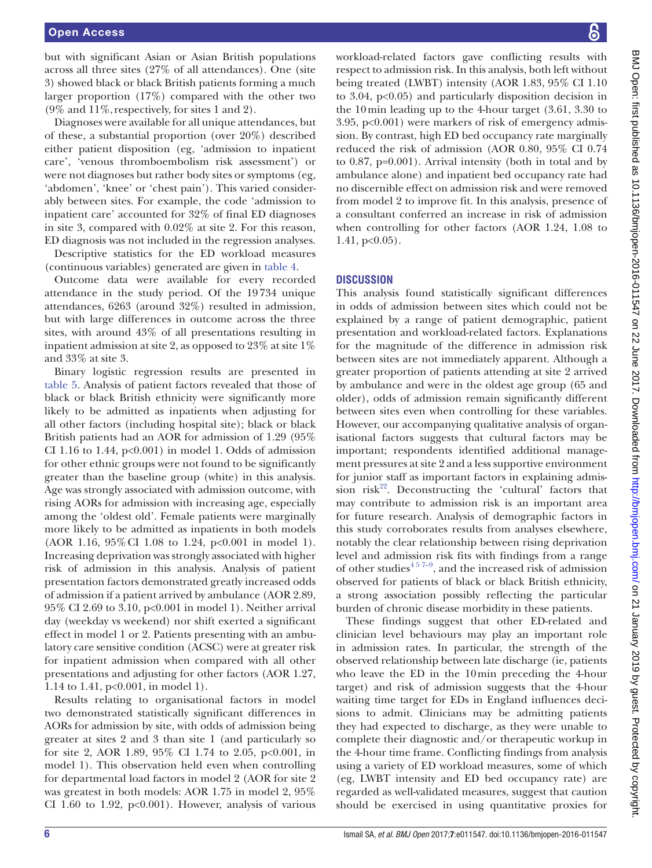but with significant Asian or Asian British populations across all three sites (27% of all attendances). One (site 3) showed black or black British patients forming a much larger proportion (17%) compared with the other two (9% and 11%, respectively, for sites 1 and 2).

Diagnoses were available for all unique attendances, but of these, a substantial proportion (over 20%) described either patient disposition (eg, 'admission to inpatient care', 'venous thromboembolism risk assessment') or were not diagnoses but rather body sites or symptoms (eg, 'abdomen', 'knee' or 'chest pain'). This varied considerably between sites. For example, the code 'admission to inpatient care' accounted for 32% of final ED diagnoses in site 3, compared with 0.02% at site 2. For this reason, ED diagnosis was not included in the regression analyses.

Descriptive statistics for the ED workload measures (continuous variables) generated are given in [table](#page-4-0) 4.

Outcome data were available for every recorded attendance in the study period. Of the 19734 unique attendances, 6263 (around 32%) resulted in admission, but with large differences in outcome across the three sites, with around 43% of all presentations resulting in inpatient admission at site 2, as opposed to 23% at site 1% and 33% at site 3.

Binary logistic regression results are presented in [table](#page-6-0) 5. Analysis of patient factors revealed that those of black or black British ethnicity were significantly more likely to be admitted as inpatients when adjusting for all other factors (including hospital site); black or black British patients had an AOR for admission of 1.29 (95% CI 1.16 to 1.44,  $p<0.001$  in model 1. Odds of admission for other ethnic groups were not found to be significantly greater than the baseline group (white) in this analysis. Age was strongly associated with admission outcome, with rising AORs for admission with increasing age, especially among the 'oldest old'. Female patients were marginally more likely to be admitted as inpatients in both models (AOR 1.16, 95%CI 1.08 to 1.24, p<0.001 in model 1). Increasing deprivation was strongly associated with higher risk of admission in this analysis. Analysis of patient presentation factors demonstrated greatly increased odds of admission if a patient arrived by ambulance (AOR 2.89, 95% CI 2.69 to 3.10, p<0.001 in model 1). Neither arrival day (weekday vs weekend) nor shift exerted a significant effect in model 1 or 2. Patients presenting with an ambulatory care sensitive condition (ACSC) were at greater risk for inpatient admission when compared with all other presentations and adjusting for other factors (AOR 1.27, 1.14 to 1.41, p<0.001, in model 1).

Results relating to organisational factors in model two demonstrated statistically significant differences in AORs for admission by site, with odds of admission being greater at sites 2 and 3 than site 1 (and particularly so for site 2, AOR 1.89, 95% CI 1.74 to 2.05, p<0.001, in model 1). This observation held even when controlling for departmental load factors in model 2 (AOR for site 2 was greatest in both models: AOR 1.75 in model 2, 95% CI 1.60 to 1.92,  $p<0.001$ ). However, analysis of various

workload-related factors gave conflicting results with respect to admission risk. In this analysis, both left without being treated (LWBT) intensity (AOR 1.83, 95% CI 1.10 to 3.04, p<0.05) and particularly disposition decision in the 10min leading up to the 4-hour target (3.61, 3.30 to 3.95, p<0.001) were markers of risk of emergency admission. By contrast, high ED bed occupancy rate marginally reduced the risk of admission (AOR 0.80, 95% CI 0.74 to 0.87, p=0.001). Arrival intensity (both in total and by ambulance alone) and inpatient bed occupancy rate had no discernible effect on admission risk and were removed from model 2 to improve fit. In this analysis, presence of a consultant conferred an increase in risk of admission when controlling for other factors (AOR 1.24, 1.08 to  $1.41, p<0.05$ ).

### **Discussion**

This analysis found statistically significant differences in odds of admission between sites which could not be explained by a range of patient demographic, patient presentation and workload-related factors. Explanations for the magnitude of the difference in admission risk between sites are not immediately apparent. Although a greater proportion of patients attending at site 2 arrived by ambulance and were in the oldest age group (65 and older), odds of admission remain significantly different between sites even when controlling for these variables. However, our accompanying qualitative analysis of organisational factors suggests that cultural factors may be important; respondents identified additional management pressures at site 2 and a less supportive environment for junior staff as important factors in explaining admission risk<sup>22</sup>. Deconstructing the 'cultural' factors that may contribute to admission risk is an important area for future research. Analysis of demographic factors in this study corroborates results from analyses elsewhere, notably the clear relationship between rising deprivation level and admission risk fits with findings from a range of other studies<sup>457-9</sup>, and the increased risk of admission observed for patients of black or black British ethnicity, a strong association possibly reflecting the particular burden of chronic disease morbidity in these patients.

These findings suggest that other ED-related and clinician level behaviours may play an important role in admission rates. In particular, the strength of the observed relationship between late discharge (ie, patients who leave the ED in the 10min preceding the 4-hour target) and risk of admission suggests that the 4-hour waiting time target for EDs in England influences decisions to admit. Clinicians may be admitting patients they had expected to discharge, as they were unable to complete their diagnostic and/or therapeutic workup in the 4-hour time frame. Conflicting findings from analysis using a variety of ED workload measures, some of which (eg, LWBT intensity and ED bed occupancy rate) are regarded as well-validated measures, suggest that caution should be exercised in using quantitative proxies for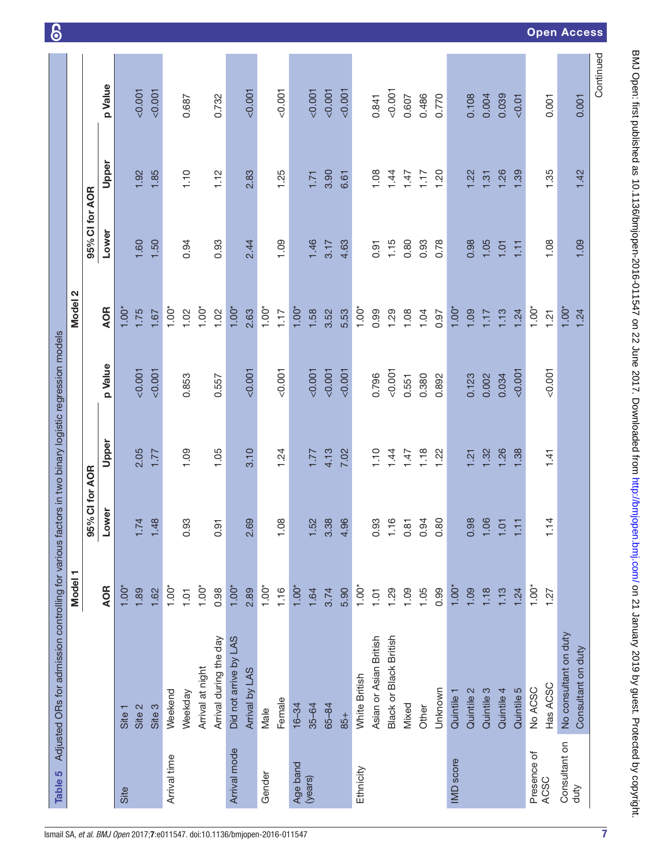| 95% CI for AOR<br>Lower<br>1.08<br>3.38<br>4.96<br>1.06<br>1.48<br>69<br>0.93<br>1.16<br>0.94<br>80<br>0.98<br>$\overline{1}$<br>1.74<br>0.93<br>1.52<br>0.81<br>1.11<br>1.01<br>$\overline{5}$<br>$\ddot{\circ}$<br>$\ddot{\circ}$<br>$\overline{\mathcal{C}}$<br>$\mathbf{\tau}$<br>$1.00*$<br>$1.00*$<br>$1.00*$<br>$1.00*$<br><b>AOR</b><br>$1.00*$<br>$1.00*$<br>$1.00*$<br>$1.00*$<br>$1.00*$<br>1.16<br>0.98<br>2.89<br>1.89<br>1.62<br>1.01<br>1.64<br>3.74<br>5.90<br>1.29<br>1.09<br>1.05<br>0.99<br>1.09<br>1.18<br>1.13<br>1.24<br>1.27<br>1.01<br>No consultant on duty<br>Asian or Asian British<br>Black or Black British<br>Arrival during the day<br>Did not arrive by LAS<br>Arrival at night<br>Arrival by LAS<br>White British<br>Has ACSC<br>No ACSC<br>Unknown<br>Quintile 3<br>Quintile 5<br>Quintile 2<br>Weekend<br>Quintile 4<br>Quintile 1<br>Weekday<br>Female<br>65-84<br>Mixed<br>$16 - 34$<br>$35 - 64$<br>Site <sub>3</sub><br>Other<br>Site 2<br>Site <sub>1</sub><br>Male<br>85+<br>Consultant on<br>Arrival mode<br>Presence of<br>Arrival time<br>IMD score<br>Age band<br>Ethnicity<br>Gender<br>(years)<br><b>ACSC</b><br>Site | Adjusted ORs for admission controlling for various factors in two binary logistic regression models<br>Model <sub>1</sub> |       |         | Model <sub>2</sub> |                |       |         |
|----------------------------------------------------------------------------------------------------------------------------------------------------------------------------------------------------------------------------------------------------------------------------------------------------------------------------------------------------------------------------------------------------------------------------------------------------------------------------------------------------------------------------------------------------------------------------------------------------------------------------------------------------------------------------------------------------------------------------------------------------------------------------------------------------------------------------------------------------------------------------------------------------------------------------------------------------------------------------------------------------------------------------------------------------------------------------------------------------------------------------------------------------------------------|---------------------------------------------------------------------------------------------------------------------------|-------|---------|--------------------|----------------|-------|---------|
|                                                                                                                                                                                                                                                                                                                                                                                                                                                                                                                                                                                                                                                                                                                                                                                                                                                                                                                                                                                                                                                                                                                                                                      |                                                                                                                           |       |         |                    | 95% CI for AOR |       |         |
|                                                                                                                                                                                                                                                                                                                                                                                                                                                                                                                                                                                                                                                                                                                                                                                                                                                                                                                                                                                                                                                                                                                                                                      |                                                                                                                           | Upper | p Value | <b>AOR</b>         | Lower          | Upper | p Value |
|                                                                                                                                                                                                                                                                                                                                                                                                                                                                                                                                                                                                                                                                                                                                                                                                                                                                                                                                                                                                                                                                                                                                                                      |                                                                                                                           |       |         | $1.00*$            |                |       |         |
|                                                                                                                                                                                                                                                                                                                                                                                                                                                                                                                                                                                                                                                                                                                                                                                                                                                                                                                                                                                                                                                                                                                                                                      |                                                                                                                           | 2.05  | 0.001   | 1.75               | 1.60           | 1.92  | 0.001   |
|                                                                                                                                                                                                                                                                                                                                                                                                                                                                                                                                                                                                                                                                                                                                                                                                                                                                                                                                                                                                                                                                                                                                                                      |                                                                                                                           | 1.77  | < 0.001 | 1.67               | 1.50           | 1.85  | 0.001   |
|                                                                                                                                                                                                                                                                                                                                                                                                                                                                                                                                                                                                                                                                                                                                                                                                                                                                                                                                                                                                                                                                                                                                                                      |                                                                                                                           |       |         | $1.00*$            |                |       |         |
|                                                                                                                                                                                                                                                                                                                                                                                                                                                                                                                                                                                                                                                                                                                                                                                                                                                                                                                                                                                                                                                                                                                                                                      |                                                                                                                           | 1.09  | 0.853   | 1.02               | 0.94           | 1.10  | 0.687   |
|                                                                                                                                                                                                                                                                                                                                                                                                                                                                                                                                                                                                                                                                                                                                                                                                                                                                                                                                                                                                                                                                                                                                                                      |                                                                                                                           |       |         | $1.00*$            |                |       |         |
|                                                                                                                                                                                                                                                                                                                                                                                                                                                                                                                                                                                                                                                                                                                                                                                                                                                                                                                                                                                                                                                                                                                                                                      |                                                                                                                           | 1.05  | 0.557   | 1.02               | 0.93           | 1.12  | 0.732   |
|                                                                                                                                                                                                                                                                                                                                                                                                                                                                                                                                                                                                                                                                                                                                                                                                                                                                                                                                                                                                                                                                                                                                                                      |                                                                                                                           |       |         | $1.00*$            |                |       |         |
|                                                                                                                                                                                                                                                                                                                                                                                                                                                                                                                                                                                                                                                                                                                                                                                                                                                                                                                                                                                                                                                                                                                                                                      |                                                                                                                           | 3.10  | 0.001   | 2.63               | 2.44           | 2.83  | 0.001   |
|                                                                                                                                                                                                                                                                                                                                                                                                                                                                                                                                                                                                                                                                                                                                                                                                                                                                                                                                                                                                                                                                                                                                                                      |                                                                                                                           |       |         | $1.00*$            |                |       |         |
|                                                                                                                                                                                                                                                                                                                                                                                                                                                                                                                                                                                                                                                                                                                                                                                                                                                                                                                                                                                                                                                                                                                                                                      |                                                                                                                           | 1.24  | < 0.001 | 1.17               | 1.09           | 1.25  | < 0.001 |
|                                                                                                                                                                                                                                                                                                                                                                                                                                                                                                                                                                                                                                                                                                                                                                                                                                                                                                                                                                                                                                                                                                                                                                      |                                                                                                                           |       |         | $1.00*$            |                |       |         |
|                                                                                                                                                                                                                                                                                                                                                                                                                                                                                                                                                                                                                                                                                                                                                                                                                                                                                                                                                                                                                                                                                                                                                                      |                                                                                                                           | 1.77  | 0.001   | 1.58               | 1.46           | 1.71  | 0.001   |
|                                                                                                                                                                                                                                                                                                                                                                                                                                                                                                                                                                                                                                                                                                                                                                                                                                                                                                                                                                                                                                                                                                                                                                      |                                                                                                                           | 4.13  | < 0.001 | 3.52               | 3.17           | 3.90  | < 0.001 |
|                                                                                                                                                                                                                                                                                                                                                                                                                                                                                                                                                                                                                                                                                                                                                                                                                                                                                                                                                                                                                                                                                                                                                                      |                                                                                                                           | 7.02  | < 0.001 | 5.53               | 4.63           | 6.61  | < 0.001 |
|                                                                                                                                                                                                                                                                                                                                                                                                                                                                                                                                                                                                                                                                                                                                                                                                                                                                                                                                                                                                                                                                                                                                                                      |                                                                                                                           |       |         | $1.00*$            |                |       |         |
|                                                                                                                                                                                                                                                                                                                                                                                                                                                                                                                                                                                                                                                                                                                                                                                                                                                                                                                                                                                                                                                                                                                                                                      |                                                                                                                           | 1.10  | 0.796   | 0.99               | 0.91           | 1.08  | 0.841   |
|                                                                                                                                                                                                                                                                                                                                                                                                                                                                                                                                                                                                                                                                                                                                                                                                                                                                                                                                                                                                                                                                                                                                                                      |                                                                                                                           | 1.44  | < 0.001 | 1.29               | 1.15           | 1.44  | < 0.001 |
|                                                                                                                                                                                                                                                                                                                                                                                                                                                                                                                                                                                                                                                                                                                                                                                                                                                                                                                                                                                                                                                                                                                                                                      |                                                                                                                           | 1.47  | 0.551   | 1.08               | 0.80           | 1.47  | 0.607   |
|                                                                                                                                                                                                                                                                                                                                                                                                                                                                                                                                                                                                                                                                                                                                                                                                                                                                                                                                                                                                                                                                                                                                                                      |                                                                                                                           | 1.18  | 0.380   | 1.04               | 0.93           | 1.17  | 0.486   |
|                                                                                                                                                                                                                                                                                                                                                                                                                                                                                                                                                                                                                                                                                                                                                                                                                                                                                                                                                                                                                                                                                                                                                                      |                                                                                                                           | 1.22  | 0.892   | 0.97               | 0.78           | 1.20  | 0.770   |
|                                                                                                                                                                                                                                                                                                                                                                                                                                                                                                                                                                                                                                                                                                                                                                                                                                                                                                                                                                                                                                                                                                                                                                      |                                                                                                                           |       |         | $1.00*$            |                |       |         |
|                                                                                                                                                                                                                                                                                                                                                                                                                                                                                                                                                                                                                                                                                                                                                                                                                                                                                                                                                                                                                                                                                                                                                                      |                                                                                                                           | 1.21  | 0.123   | 1.09               | 0.98           | 1.22  | 0.108   |
|                                                                                                                                                                                                                                                                                                                                                                                                                                                                                                                                                                                                                                                                                                                                                                                                                                                                                                                                                                                                                                                                                                                                                                      |                                                                                                                           | 1.32  | 0.002   | 1.17               | 1.05           | 1.31  | 0.004   |
|                                                                                                                                                                                                                                                                                                                                                                                                                                                                                                                                                                                                                                                                                                                                                                                                                                                                                                                                                                                                                                                                                                                                                                      |                                                                                                                           | 1.26  | 0.034   | 1.13               | 1.01           | 1.26  | 0.039   |
|                                                                                                                                                                                                                                                                                                                                                                                                                                                                                                                                                                                                                                                                                                                                                                                                                                                                                                                                                                                                                                                                                                                                                                      |                                                                                                                           | 1.38  | 0.001   | 1.24               | 1.11           | 1.39  | $-0.01$ |
|                                                                                                                                                                                                                                                                                                                                                                                                                                                                                                                                                                                                                                                                                                                                                                                                                                                                                                                                                                                                                                                                                                                                                                      |                                                                                                                           |       |         | $1.00*$            |                |       |         |
|                                                                                                                                                                                                                                                                                                                                                                                                                                                                                                                                                                                                                                                                                                                                                                                                                                                                                                                                                                                                                                                                                                                                                                      |                                                                                                                           | 1.41  | < 0.001 | 1.21               | 1.08           | 1.35  | 0.001   |
|                                                                                                                                                                                                                                                                                                                                                                                                                                                                                                                                                                                                                                                                                                                                                                                                                                                                                                                                                                                                                                                                                                                                                                      |                                                                                                                           |       |         | $1.00*$            |                |       |         |
| Consultant on duty<br>duty                                                                                                                                                                                                                                                                                                                                                                                                                                                                                                                                                                                                                                                                                                                                                                                                                                                                                                                                                                                                                                                                                                                                           |                                                                                                                           |       |         | 1.24               | 1.09           | 1.42  | 0.001   |

**I** A

<span id="page-6-0"></span>7

Open Access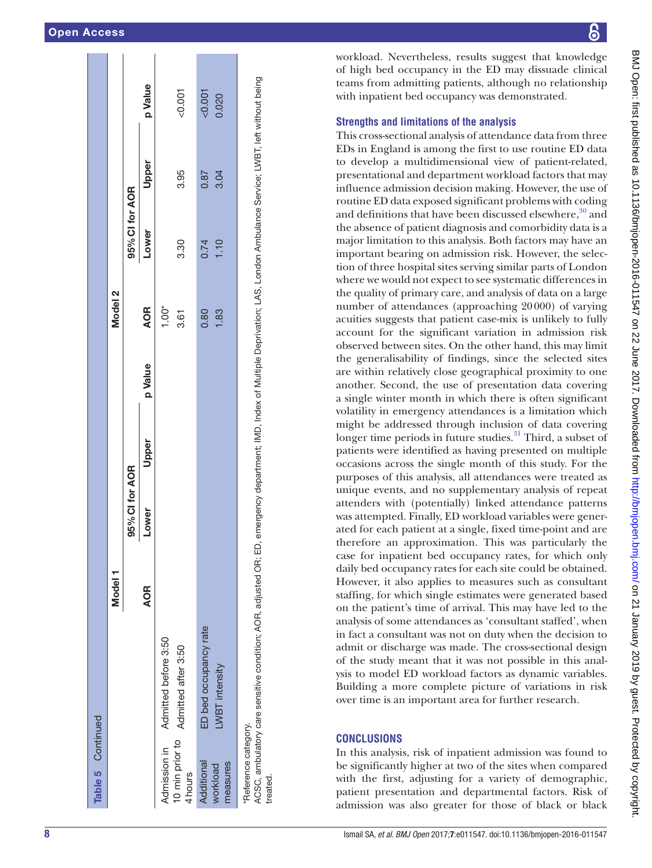| Table 5 Continued            |                                                                  | Model 1    |                |       |                                                                                                                   | Model <sub>2</sub> |                |       |         |
|------------------------------|------------------------------------------------------------------|------------|----------------|-------|-------------------------------------------------------------------------------------------------------------------|--------------------|----------------|-------|---------|
|                              |                                                                  |            | 95% CI for AOR |       |                                                                                                                   |                    | 95% CI for AOR |       |         |
|                              |                                                                  | <b>AOR</b> | Lower          | Upper | p Value                                                                                                           | <b>AOR</b>         | Lower          | Upper | p Value |
| Admission in                 | Admitted before 3:50                                             |            |                |       |                                                                                                                   | $1.00*$            |                |       |         |
| 10 min prior to<br>4hours    | Admitted after 3:50                                              |            |                |       |                                                                                                                   | 3.61               | 3.30           | 3.95  | &0.001  |
| Additional                   | ED bed occupancy rate                                            |            |                |       |                                                                                                                   | 0.80               | 0.74           | 0.87  | 0.001   |
| <b>Theasures</b><br>workload | LWBT intensity                                                   |            |                |       |                                                                                                                   | 1.83               | 1.10           | 3.04  | 0.020   |
| *Reference category.         | ACSC, ambulatory care sensitive condition; AOR, adjusted OR; ED, |            |                |       | emergency department; IMD, Index of Multiple Deprivation; LAS, London Ambulance Service; LWBT, left without being |                    |                |       |         |

ACSC, ambulatory care sensitive condition; AOR, adjusted OR; ED, emergency department; IMD, Index of Multiple Deprivation; LAS, London Ambulance Service; LWBT, left without being po ₹  $\frac{1}{2}$ ₹ ད  $\frac{1}{11}$ .<br>ה 5 Ę ਰ੍ ₹ ACSC. treated. workload. Nevertheless, results suggest that knowledge of high bed occupancy in the ED may dissuade clinical teams from admitting patients, although no relationship with inpatient bed occupancy was demonstrated.

# **Strengths and limitations of the analysis**

This cross-sectional analysis of attendance data from three EDs in England is among the first to use routine ED data to develop a multidimensional view of patient-related, presentational and department workload factors that may influence admission decision making. However, the use of routine ED data exposed significant problems with coding and definitions that have been discussed elsewhere,  $30$  and the absence of patient diagnosis and comorbidity data is a major limitation to this analysis. Both factors may have an important bearing on admission risk. However, the selec tion of three hospital sites serving similar parts of London where we would not expect to see systematic differences in the quality of primary care, and analysis of data on a large number of attendances (approaching 20000) of varying acuities suggests that patient case-mix is unlikely to fully account for the significant variation in admission risk observed between sites. On the other hand, this may limit the generalisability of findings, since the selected sites are within relatively close geographical proximity to one another. Second, the use of presentation data covering a single winter month in which there is often significant volatility in emergency attendances is a limitation which might be addressed through inclusion of data covering longer time periods in future studies.<sup>[31](#page-8-21)</sup> Third, a subset of patients were identified as having presented on multiple occasions across the single month of this study. For the purposes of this analysis, all attendances were treated as unique events, and no supplementary analysis of repeat attenders with (potentially) linked attendance patterns was attempted. Finally, ED workload variables were generated for each patient at a single, fixed time-point and are therefore an approximation. This was particularly the case for inpatient bed occupancy rates, for which only daily bed occupancy rates for each site could be obtained. However, it also applies to measures such as consultant staffing, for which single estimates were generated based on the patient's time of arrival. This may have led to the analysis of some attendances as 'consultant staffed', when in fact a consultant was not on duty when the decision to admit or discharge was made. The cross-sectional design of the study meant that it was not possible in this anal ysis to model ED workload factors as dynamic variables. Building a more complete picture of variations in risk over time is an important area for further research.

# **Conclusions**

In this analysis, risk of inpatient admission was found to be significantly higher at two of the sites when compared with the first, adjusting for a variety of demographic, patient presentation and departmental factors. Risk of admission was also greater for those of black or black

8